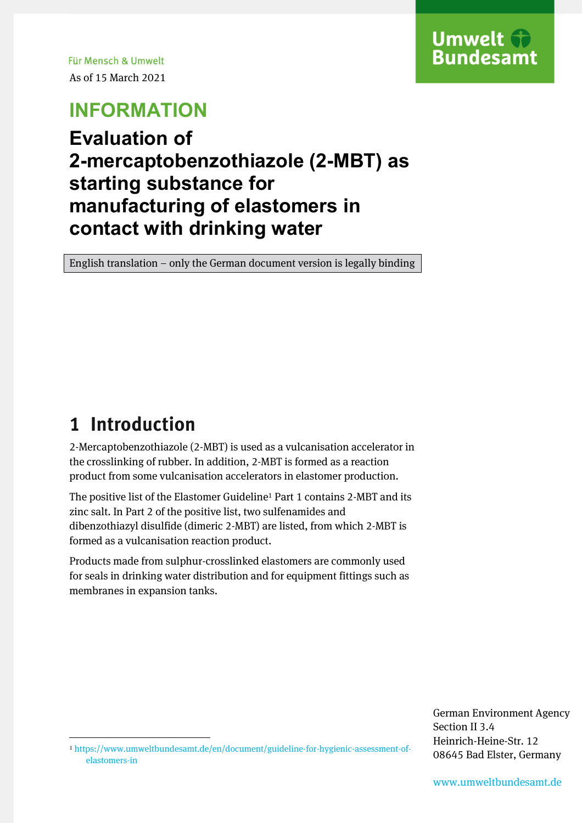Für Mensch & Umwelt As of 15 March 2021

## **INFORMATION**

#### **Evaluation of 2-mercaptobenzothiazole (2-MBT) as starting substance for manufacturing of elastomers in contact with drinking water**

English translation – only the German document version is legally binding

### **1 Introduction**

 $\overline{\phantom{a}}$ 

2-Mercaptobenzothiazole (2-MBT) is used as a vulcanisation accelerator in the crosslinking of rubber. In addition, 2-MBT is formed as a reaction product from some vulcanisation accelerators in elastomer production.

The positive list of the Elastomer Guideline<sup>1</sup> Part 1 contains 2-MBT and its zinc salt. In Part 2 of the positive list, two sulfenamides and dibenzothiazyl disulfide (dimeric 2-MBT) are listed, from which 2-MBT is formed as a vulcanisation reaction product.

Products made from sulphur-crosslinked elastomers are commonly used for seals in drinking water distribution and for equipment fittings such as membranes in expansion tanks.

> German Environment Agency Section II 3.4 Heinrich-Heine-Str. 12 08645 Bad Elster, Germany

<sup>1</sup> https://www.umweltbundesamt.de/en/document/guideline-for-hygienic-assessment-ofelastomers-in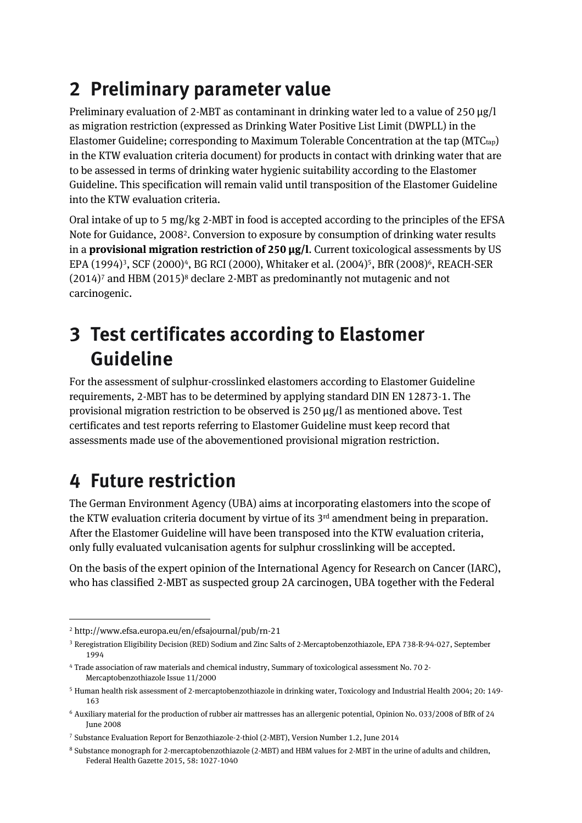## **2 Preliminary parameter value**

Preliminary evaluation of 2-MBT as contaminant in drinking water led to a value of  $250 \mu g/l$ as migration restriction (expressed as Drinking Water Positive List Limit (DWPLL) in the Elastomer Guideline; corresponding to Maximum Tolerable Concentration at the tap  $(MTC_{tap})$ in the KTW evaluation criteria document) for products in contact with drinking water that are to be assessed in terms of drinking water hygienic suitability according to the Elastomer Guideline. This specification will remain valid until transposition of the Elastomer Guideline into the KTW evaluation criteria.

Oral intake of up to 5 mg/kg 2-MBT in food is accepted according to the principles of the EFSA Note for Guidance, 2008<sup>2</sup>. Conversion to exposure by consumption of drinking water results in a **provisional migration restriction of 250 µg/l.** Current toxicological assessments by US EPA (1994)<sup>3</sup>, SCF (2000)<sup>4</sup>, BG RCI (2000), Whitaker et al. (2004)<sup>5</sup>, BfR (2008)<sup>6</sup>, REACH-SER  $(2014)$ <sup>7</sup> and HBM  $(2015)$ <sup>8</sup> declare 2-MBT as predominantly not mutagenic and not carcinogenic.

## **3 Test certificates according to Elastomer Guideline**

For the assessment of sulphur-crosslinked elastomers according to Elastomer Guideline requirements, 2-MBT has to be determined by applying standard DIN EN 12873-1. The provisional migration restriction to be observed is 250 µg/l as mentioned above. Test certificates and test reports referring to Elastomer Guideline must keep record that assessments made use of the abovementioned provisional migration restriction.

# **4 Future restriction**

The German Environment Agency (UBA) aims at incorporating elastomers into the scope of the KTW evaluation criteria document by virtue of its 3<sup>rd</sup> amendment being in preparation. After the Elastomer Guideline will have been transposed into the KTW evaluation criteria, only fully evaluated vulcanisation agents for sulphur crosslinking will be accepted.

On the basis of the expert opinion of the International Agency for Research on Cancer (IARC), who has classified 2-MBT as suspected group 2A carcinogen, UBA together with the Federal

 $\overline{\phantom{a}}$ 

<sup>2</sup> http://www.efsa.europa.eu/en/efsajournal/pub/rn-21

<sup>3</sup> Reregistration Eligibility Decision (RED) Sodium and Zinc Salts of 2-Mercaptobenzothiazole, EPA 738-R-94-027, September 1994

<sup>4</sup> Trade association of raw materials and chemical industry, Summary of toxicological assessment No. 70 2- Mercaptobenzothiazole Issue 11/2000

<sup>5</sup> Human health risk assessment of 2-mercaptobenzothiazole in drinking water, Toxicology and Industrial Health 2004; 20: 149- 163

<sup>6</sup> Auxiliary material for the production of rubber air mattresses has an allergenic potential, Opinion No. 033/2008 of BfR of 24 June 2008

<sup>7</sup> Substance Evaluation Report for Benzothiazole-2-thiol (2-MBT), Version Number 1.2, June 2014

<sup>8</sup> Substance monograph for 2-mercaptobenzothiazole (2-MBT) and HBM values for 2-MBT in the urine of adults and children, Federal Health Gazette 2015, 58: 1027-1040